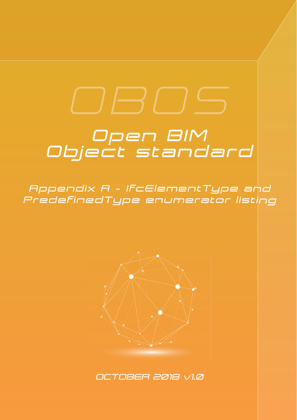## *Open BIM Object standard*

*Appendix A - IfcElementType and PredefinedType enumerator listing*



*OCTOBER 2018 v1.0*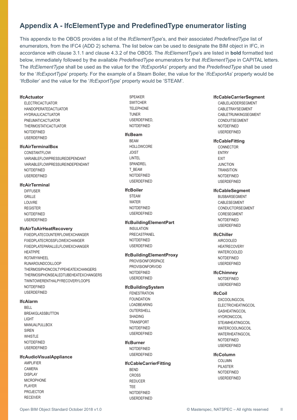#### **Appendix A - IfcElementType and Predefi nedType enumerator listing**

This appendix to the OBOS provides a list of the *IfcElementType*'s, and their associated *PredefinedType* list of enumerators, from the IFC4 (ADD 2) schema. The list below can be used to designate the BIM object in IFC, in accordance with clause 3.1.1 and clause 4.3.2 of the OBOS. The *IfcElementType*'s are listed in **bold** formatted text below, immediately followed by the available *Predefined Type* enumerators for that *IfcElement Type* in CAPITAL letters. The *IfcElementType* shall be used as the value for the '*IfcExportAs*' property and the *PredefinedType* shall be used for the '*IfcExportType*' property. For the example of a Steam Boiler, the value for the '*IfcExportAs*' property would be 'IfcBoiler' and the value for the '*IfcExportType*' property would be 'STEAM'.

#### **IfcActuator**

 ELECTRICACTUATOR HANDOPERATEDACTUATOR HYDRAULICACTUATOR PNEUMATICACTUATOR THERMOSTATICACTUATOR NOTDEFINED USERDEFINED

#### **IfcAirTerminalBox**

CONSTANTELOW VARIABLEFLOWPRESSUREDEPENDANT VARIABLEFLOWPRESSUREINDEPENDANT **NOTDEFINED** USERDEFINED

#### **IfcAirTerminal**

 DIFFUSER GRILLE LOUVRE REGISTER NOTDEFINED USERDEFINED

#### **IfcAirToAirHeatRecovery**

 FIXEDPLATECOUNTERFLOWEXCHANGER FIXEDPLATECROSSFLOWEXCHANGER FIXEDPLATEPARALLELFLOWEXCHANGER HEATPIPE ROTARYWHEEL RUNAROUNDCOILLOOP THERMOSIPHONCOILTYPEHEATEXCHANGERS THERMOSIPHONSEALEDTUBEHEATEXCHANGERS TWINTOWERENTHALPYRECOVERYLOOPS NOTDEFINED USERDEFINED

#### **IfcAlarm**

 BELL BREAKGLASSBUTTON LIGHT MANUALPULLBOX SIREN WHISTLE NOTDEFINED USERDEFINED

#### **IfcAudioVisualAppliance**

 AMPLIFIER CAMERA DISPLAY MICROPHONE PI AYFR PROJECTOR RECEIVER

 SPEAKER **SWITCHER**  TELEPHONE TUNER USERDEFINED, NOTDEFINED

#### **IfcBeam**

**BEAM** HOLLOWCORE JOIST LINTEL **SPANDREL**  T\_BEAM NOTDEFINED USERDEFINED

#### **IfcBoiler**

**STEAM**  WATER NOTDEFINED USERDEFINED

#### **IfcBuildingElementPart**

 INSULATION PRECASTPANEL **NOTDEFINED** USERDEFINED

#### **IfcBuildingElementProxy**

 PROVISIONFORSPACE PROVISIONFORVOID **NOTDEFINED** USERDEFINED

#### **IfcBuildingSystem**

**FENESTRATION**  FOUNDATION LOADBEARING OUTERSHELL SHADING TRANSPORT NOTDEFINED USERDEFINED

#### **IfcBurner**

 NOTDEFINED USERDEFINED

#### **IfcCableCarrierFitting**

 BEND CROSS REDUCER TEE **NOTDEFINED** USERDEFINED

#### **IfcCableCarrierSegment**

CABLELADDERSEGMENT CABLETRAYSEGMENT CABLETRUNKINGSEGMENT CONDUITSEGMENT **NOTDEFINED** USERDEFINED

#### **IfcCableFitting**

 CONNECTOR ENTRY EXIT **JUNCTION TRANSITION**  NOTDEFINED USERDEFINED

#### **IfcCableSegment**

 BUSBARSEGMENT CABLESEGMENT CONDUCTORSEGMENT CORESEGMENT NOTDEFINED USERDEFINED

#### **IfcChiller**

 AIRCOOLED **HEATRECOVERY** WATERCOOLED **NOTDEFINED** USERDEFINED

#### **IfcChimney**

 NOTDEFINED USERDEFINED

#### **IfcCoil**

**DXCOOLINGCOIL**  ELECTRICHEATINGCOIL GASHEATINGCOIL HYDRONICCOIL **STEAMHEATINGCOIL** WATERCOOLINGCOIL WATERHEATINGCOIL NOTDEFINED USERDEFINED

#### **IfcColumn**

 COLUMN PILASTER NOTDEFINED USERDEFINED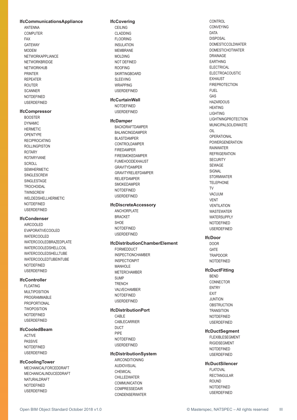#### **IfcCommunicationsAppliance**

 ANTENNA COMPUTER FAX GATEWAY MODEM NETWORKAPPLIANCE NETWORKBRIDGE NETWORKHUB PRINTER REPEATER ROUTER SCANNER NOTDEFINED USERDEFINED

#### **IfcCompressor**

 BOOSTER DYNAMIC HERMETIC **OPENTYPE**  RECIPROCATING ROLLINGPISTON **ROTARY**  ROTARYVANE SCROLL SEMIHERMETIC SINGLESCREW SINGLESTAGE **TROCHOIDAL TWINSCREW** WELDEDSHELLHERMETIC NOTDEFINED USERDEFINED

#### **IfcCondenser**

 AIRCOOLED EVAPORATIVECOOLED WATERCOOLED WATERCOOLEDBRAZEDPLATE WATERCOOLEDSHELLCOIL WATERCOOLEDSHELLTUBE WATERCOOLEDTUBEINTUBE NOTDEFINED USERDEFINED

#### **IfcController**

**FLOATING**  MULTIPOSITION PROGRAMMABLE PROPORTIONAL **TWOPOSITION**  NOTDEFINED USERDEFINED

#### **IfcCooledBeam**

 ACTIVE PASSIVE NOTDEFINED USERDEFINED

#### **IfcCoolingTower**

 MECHANICALFORCEDDRAFT MECHANICALINDUCEDDRAFT NATURALDRAFT NOTDEFINED USERDEFINED

#### **IfcCovering**

 CEILING CLADDING FLOORING INSULATION MEMBRANE MOLDING NOT DEFINED ROOFING SKIRTINGBOARD SLEEVING WRAPPING USERDEFINED

#### **IfcCurtainWall**

 NOTDEFINED USERDEFINED

#### **IfcDamper**

 BACKDRAFTDAMPER BALANCINGDAMPER BLASTDAMPER CONTROLDAMPER FIREDAMPER FIRESMOKEDAMPER FUMEHOODEXHAUST GRAVITYDAMPER GRAVITYRELIEFDAMPER RELIEFDAMPER SMOKEDAMPER NOTDEFINED USERDEFINED

#### **IfcDiscreteAccessory**

 ANCHORPLATE BRACKET SHOE NOTDEFINED USERDEFINED

#### **IfcDistributionChamberElement**

**FORMEDDUCT**  INSPECTIONCHAMBER INSPECTIONPIT MANHOL F METERCHAMBER **SUMP TRENCH**  VALVECHAMBER NOTDEFINED USERDEFINED

#### **IfcDistributionPort**

 CABLE CABLECARRIER DUCT PIPE NOTDEFINED USERDEFINED

#### **IfcDistributionSystem**

 AIRCONDITIONING AUDIOVISUAL CHEMICAL CHILLEDWATER **COMMUNICATION**  COMPRESSEDAIR CONDENSERWATER  CONTROL CONVEYING **DATA**  DISPOSAL DOMESTICCOLDWATER DOMESTICHOTWATER DRAINAGE EARTHING **ELECTRICAL**  ELECTROACOUSTIC EXHAUST FIREPROTECTION FUEL GAS HAZARDOUS HEATING **LIGHTING**  LIGHTNINGPROTECTION MUNICIPALSOLIDWASTE  $\cap$ **OPERATIONAL**  POWERGENERATION RAINWATER **REFRIGERATION SECURITY**  SEWAGE **SIGNAL STORMWATER**  TELEPHONE TV **VACUUM**  VENT VENTILATION WASTEWATER WATERSUPPLY NOTDEFINED USERDEFINED

#### **IfcDoor**

 DOOR **GATE**  TRAPDOOR NOTDEFINED

#### **IfcDuctFitting**

**BEND**  CONNECTOR ENTRY EXIT **JUNTION OBSTRUCTION TRANSITION**  NOTDEFINED USERDEFINED

#### **IfcDuctSegment**

 FLEXIBLESEGMENT RIGIDSEGMENT NOTDEFINED USERDEFINED

#### **IfcDuctSilencer**

**FI ATOVAL**  RECTANGULAR ROUND NOTDEFINED USERDEFINED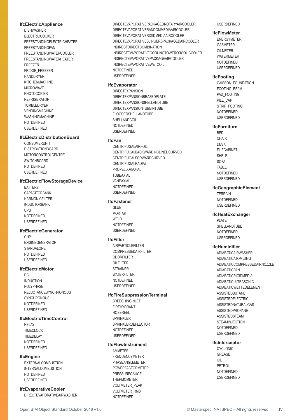#### **IfcElectricAppliance**

 DISHWASHER ELECTRICCOOKER FREESTANDINGELECTRICHEATER FREESTANDINGFAN FREESTANDINGWATERCOOLER FREESTANDINGWATERHEATER FREEZER FRIDGE\_FREEZER HANDDRYER KITCHENMACHINE MICROWAVE PHOTOCOPIER REFRIGERATOR TUMBLEDRYER VENDINGMACHINE WASHINGMACHINE NOTDEFINED USERDEFINED

#### **IfcElectricDistributionBoard**

 CONSUMERUNIT DISTRIBUTIONBOARD MOTORCONTROLCENTRE **SWITCHBOARD**  NOTDEFINED USERDEFINED

#### **IfcElectricFlowStorageDevice**

**BATTERY**  CAPACITORBANK HARMONICFILTER INDUCTORBANK UPS NOTDEFINED USERDEFINED

#### **IfcElectricGenerator**

 CHP ENGINEGENERATOR STANDALONE NOTDEFINED USERDEFINED

#### **IfcElectricMotor**

 $D^{\circ}$  INDUCTION POLYPHASE RELUCTANCESYNCHRONOUS **SYNCHRONOUS**  NOTDEFINED USERDEFINED

#### **IfcElectricTimeControl**

 RELAY TIMECLOCK TIMEDELAY NOTDEFINED USERDEFINED

#### **IfcEngine**

 EXTERNALCOMBUSTION INTERNALCOMBUSTION NOTDEFINED USERDEFINED

#### **IfcEvaporativeCooler**

DIRECTEVAPORATIVEAIRWASHER

 DIRECTEVAPORATIVEPACKAGEDROTARYAIRCOOLER DIRECTEVAPORATIVERANDOMMEDIAAIRCOOLER DIRECTEVAPORATIVERIGIDMEDIAAIRCOOLER DIRECTEVAPORATIVESLINGERSPACKAGEDAIRCOOLER INDIRECTDIRECTCOMBINATION INDIRECTEVAPORATIVECOOLINGTOWERORCOILCOOLER INDIRECTEVAPORATIVEPACKAGEAIRCOOLER INDIRECTEVAPORATIVEWETCOIL NOTDEFINED USERDEFINED

#### **IfcEvaporator**

 DIRECTEXPANSION DIRECTEXPANSIONBRAZEDPLATE DIRECTEXPANSIONSHELLANDTUBE DIRECTEXPANSIONTUBEINTUBE FLOODEDSHELLANDTUBE SHELLANDCOIL **NOTDEFINED** USERDEFINED

#### **IfcFan**

 CENTRIFUGALAIRFOIL CENTRIFUGALBACKWARDINCLINEDCURVED CENTRIFUGALFORWARDCURVED CENTRIFUGALRADIAL PROPELLORAXIAL TUBEAXIAL VANEAXIAL NOTDEFINED USERDEFINED

#### **IfcFastener**

 GLUE MORTAR WELD **NOTDEFINED** USERDEFINED

#### **IfcFilter**

 AIRPARTICLEFILTER COMPRESSEDAIRFILTER ODORFILTER OILFILTER STRAINER WATERFILTER NOTDEFINED USERDEFINED

#### **IfcFireSuppressionTerminal**

 BREECHINGINLET FIREHYDRANT HOSEREEL SPRINKLER SPRINKLERDEFLECTOR NOTDEFINED USERDEFINED

#### **IfcFlowInstrument**

 AMMETER FREQUENCYMETER PHASEANGLEMETER POWERFACTORMETER PRESSUREGAUGE THERMOMETER VOLTMETER\_PEAK VOLTMETER\_RMS NOTDEFINED

USERDEFINED

#### **IfcFlowMeter**

 ENERGYMETER GASMETER **OILMETER**  WATERMETER NOTDEFINED USERDEFINED

#### **IfcFooting**

 CAISSON\_FOUNDATION FOOTING\_BEAM PAD\_FOOTING PILE\_CAP STRIP\_FOOTING **NOTDEFINED** USERDEFINED

#### **IfcFurniture**

 BED CHAIR DESK FILECABINET SHELF SOFA TABLE **NOTDEFINED** USERDEFINED

#### **IfcGeographicElement**

 TERRAIN **NOTDEFINED** USERDEFINED

#### **IfcHeatExchanger**

 PLATE SHELL AND TURE NOTDEFINED USERDEFINED

#### **IfcHumidifier**

 ADIABATICAIRWASHER ADIABATICATOMIZING ADIABATICCOMPRESSEDAIRNOZZLE ADIABATICPAN ADIABATICRIGIDMEDIA ADIABATICULTRASONIC ADIABATICWETTEDELEMENT **ASSISTEDBUTANE**  ASSISTEDELECTRIC ASSISTEDNATURALGAS ASSISTEDPROPANE **ASSISTEDSTEAM STEAMINJECTION**  NOTDEFINED USERDEFINED

#### **IfcInterceptor**

 CYCLONIC GREASE OIL PETROL **NOTDEFINED** USERDEFINED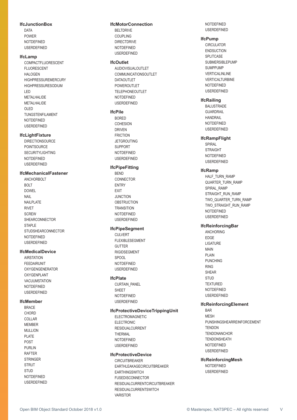#### **IfcJunctionBox**

**DATA**  POWER NOTDEFINED USERDEFINED

#### **IfcLamp**

 COMPACTFLUORESCENT FLUORESCENT HALOGEN HIGHPRESSUREMERCURY HIGHPRESSURESODIUM LED MFTAI HAI IDF METALHALIDE  $\cap$  ED TUNGSTENFILAMENT NOTDEFINED USERDEFINED

#### **IfcLightFixture**

 DIRECTIONSOURCE POINTSOURCE SECURITYLIGHTING NOTDEFINED USERDEFINED

#### **IfcMechanicalFastener**

 ANCHORBOLT BOLT DOWEL NAIL NAILPLATE RIVET **SCREW**  SHEARCONNECTOR STAPI<sub>F</sub> STUDSHEARCONNECTOR NOTDEFINED USERDEFINED

#### **IfcMedicalDevice**

 AIRSTATION FEEDAIRUNIT OXYGENGENERATOR OXYGENPLANT VACUUMSTATION NOTDEFINED USERDEFINED

#### **IfcMember**

**BRACE** CHORD COLLAR **MEMBER**  MULLION PLATE POST PURLIN RAFTER **STRINGER STRUT STUD**  NOTDEFINED USERDEFINED

#### **IfcMotorConnection**

 BELTDRIVE COUPLING DIRECTDRIVE NOTDEFINED USERDEFINED

#### **IfcOutlet**

 AUDIOVISUALOUTLET COMMUNICATIONSOUTLET DATAOUTLET POWEROUTLET TELEPHONEOUTLET NOTDEFINED USERDEFINED

#### **IfcPile**

 BORED **COHESION**  DRIVEN FRICTION **JETGROUTING**  SUPPORT NOTDEFINED USERDEFINED

#### **IfcPipeFitting**

 BEND CONNECTOR ENTRY EXIT JUNCTION **OBSTRUCTION**  TRANSITION **NOTDEFINED** USERDEFINED

#### **IfcPipeSegment**

CULVERT FLEXIBLESEGMENT GUTTER RIGIDSEGMENT SPOOL NOTDEFINED USERDEFINED

#### **IfcPlate**

 CURTAIN\_PANEL SHEET NOTDEFINED USERDEFINED

#### **IfcProtectiveDeviceTrippingUnit**

 ELECTROMAGNETIC ELECTRONIC RESIDUALCURRENT THERMAL NOTDEFINED USERDEFINED

#### **IfcProtectiveDevice**

CIRCUITBREAKER EARTHLEAKAGECIRCUITBREAKER EARTHINGSWITCH FUSEDISCONNECTOR RESIDUALCURRENTCIRCUITBREAKER RESIDUALCURRENTSWITCH VARISTOR

**NOTDEFINED** USERDEFINED

#### **IfcPump**

**CIRCULATOR ENDSUCTION SPLITCASE**  SUBMERSIBLEPUMP SUMPPUMP VERTICALINLINE VERTICALTURBINE NOTDEFINED USERDEFINED

#### **IfcRailing**

 BALUSTRADE **GUARDRAIL**  HANDRAIL NOTDEFINED USERDEFINED

#### **IfcRampFlight**

 SPIRAL STRAIGHT NOTDEFINED USERDEFINED

#### **IfcRamp**

HALF\_TURN\_RAMP QUARTER\_TURN\_RAMP SPIRAL\_RAMP STRAIGHT\_RUN\_RAMP TWO\_QUARTER\_TURN\_RAMP TWO\_STRAIGHT\_RUN\_RAMP NOTDEFINED USERDEFINED

#### **IfcReinforcingBar**

 ANCHORING EDGE LIGATURE MAIN PI AIN PUNCHING RING SHEAR STUD **TEXTURED**  NOTDEFINED USERDEFINED

#### **IfcReinforcingElement**

 BAR MESH PUNSHINGSHEARREINFORCEMENT **TENDON TENDONANCHOR**  TENDONSHEATH NOTDEFINED USERDEFINED

#### **IfcReinforcingMesh**

 NOTDEFINED USERDEFINED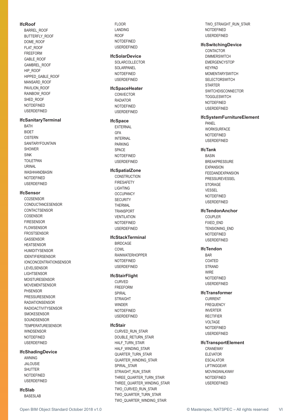#### **IfcRoof**

 BARREL\_ROOF BUTTERFLY\_ROOF DOME\_ROOF FLAT\_ROOF FREEFORM GABLE\_ROOF GAMBREL\_ROOF HIP\_ROOF HIPPED\_GABLE\_ROOF MANSARD\_ROOF PAVILION\_ROOF RAINBOW\_ROOF SHED\_ROOF NOTDEFINED USERDEFINED

#### **IfcSanitaryTerminal**

 BATH **BIDET**  CISTERN SANITARYFOUNTAIN SHOWER SINK TOILETPAN URINAL WASHHANDBASIN NOTDEFINED USERDEFINED

#### **IfcSensor**

 CO2SENSOR CONDUCTANCESENSOR **CONTACTSENSOR**  COSENSOR FIRESENSOR **FLOWSENSOR**  FROSTSENSOR **GASSENSOR HEATSENSOR**  HUMIDITYSENSOR IDENTIFIERSENSOR IONCONCENTRATIONSENSOR LEVELSENSOR LIGHTSENSOR MOISTURESENSOR MOVEMENTSENSOR PHSENSOR PRESSURESENSOR RADIATIONSENSOR RADIOACTIVITYSENSOR SMOKESENSOR SOUNDSENSOR TEMPERATURESENSOR WINDSENSOR NOTDEFINED USERDEFINED

#### **IfcShadingDevice**

**AWNING**  JALOUSIE SHUTTER NOTDEFINED USERDEFINED

#### **IfcSlab**

BASESLAB

FLOOR LANDING ROOF NOTDEFINED USERDEFINED

#### **IfcSolarDevice**

 SOLARCOLLECTOR SOLARPANEL NOTDEFINED USERDEFINED

#### **IfcSpaceHeater**

**CONVECTOR**  RADIATOR NOTDEFINED USERDEFINED

#### **IfcSpace**

**EXTERNAL GFA**  INTERNAL PARKING SPACE NOTDEFINED USERDEFINED

#### **IfcSpatialZone**

**CONSTRUCTION**  FIRESAFETY LIGHTING **OCCUPANCY SECURITY**  THERMAL **TRANSPORT**  VENTILATION NOTDEFINED USERDEFINED

#### **IfcStackTerminal**

 BIRDCAGE **COWL**  RAINWATERHOPPER NOTDEFINED USERDEFINED

#### **IfcStairFlight**

 CURVED FREEFORM SPIRAL **STRAIGHT WINDER NOTDEFINED** USERDEFINED

#### **IfcStair**

 CURVED\_RUN\_STAIR DOUBLE\_RETURN\_STAIR HALF\_TURN\_STAIR HALF\_WINDING\_STAIR QUARTER\_TURN\_STAIR QUARTER\_WINDING\_STAIR SPIRAL\_STAIR STRAIGHT\_RUN\_STAIR THREE\_QUARTER\_TURN\_STAIR THREE\_QUARTER\_WINDING\_STAIR TWO\_CURVED\_RUN\_STAIR TWO\_QUARTER\_TURN\_STAIR TWO\_QUARTER\_WINDING\_STAIR

 TWO\_STRAIGHT\_RUN\_STAIR NOTDEFINED USERDEFINED

#### **IfcSwitchingDevice**

 CONTACTOR **DIMMERSWITCH**  EMERGENCYSTOP KEYPAD **MOMENTARYSWITCH** SELECTORSWITCH STARTER **SWITCHDISCONNECTOR TOGGLESWITCH**  NOTDEFINED USERDEFINED

#### **IfcSystemFurnitureElement**

 PANEL WORKSURFACE NOTDEFINED USERDEFINED

#### **IfcTank**

 BASIN BREAKPRESSURE EXPANSION **FFEDANDEXPANSION PRESSUREVESSEL STORAGE**  VESSEL NOTDEFINED USERDEFINED

#### **IfcTendonAnchor**

 COUPLER FIXED\_END TENSIONING\_END NOTDEFINED USERDEFINED

#### **IfcTendon**

**BAR**  COATED **STRAND**  WIRE NOTDEFINED USERDEFINED

#### **IfcTransformer**

**CURRENT**  FREQUENCY INVERTER RECTIFIER VOLTAGE NOTDEFINED USERDEFINED

#### **IfcTransportElement**

 CRANEWAY ELEVATOR ESCALATOR LIFTINGGEAR MOVINGWALKWAY NOTDEFINED USERDEFINED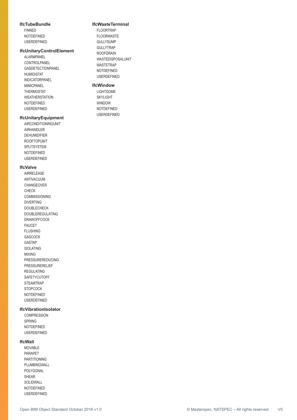#### **IfcTubeBundle**

 FINNED NOTDEFINED USERDEFINED

#### **IfcUnitaryControlElement**

 ALARMPANEL CONTROLPANEL GASDETECTIONPANEL HUMIDISTAT INDICATORPANEL MIMICPANEL THERMOSTAT WEATHERSTATION NOTDEFINED USERDEFINED

#### **IfcUnitaryEquipment**

 AIRCONDITIONINGUNIT AIRHANDI FR DEHUMIDIFIER ROOFTOPUNIT **SPLITSYSTEM**  NOTDEFINED USERDEFINED

#### **IfcValve**

 AIRRELEASE ANTIVACUUM CHANGEOVER CHECK COMMISSIONING DIVERTING DOUBLECHECK DOUBLEREGULATING DRAWOFFCOCK FAUCET FLUSHING GASCOCK GASTAP ISOLATING MIXING PRESSUREREDUCING PRESSURERELIEF REGULATING **SAFETYCUTOFF STEAMTRAP STOPCOCK**  NOTDEFINED USERDEFINED

#### **IfcVibrationIsolator**

 COMPRESSION SPRING NOTDEFINED USERDEFINED

#### **IfcWall**

MOVABLE PARAPET PARTITIONING PLUMBINGWALL POLYGONAL SHEAR SOLIDWALL NOTDEFINED USERDEFINED

#### **IfcWasteTerminal**

FLOORTRAP FLOORWASTE GULLYSUMP GULLYTRAP ROOFDRAIN WASTEDISPOSALUNIT WASTETRAP NOTDEFINED USERDEFINED

#### **IfcWindow**

 LIGHTDOME SKYLIGHT WINDOW NOTDEFINED USERDEFINED